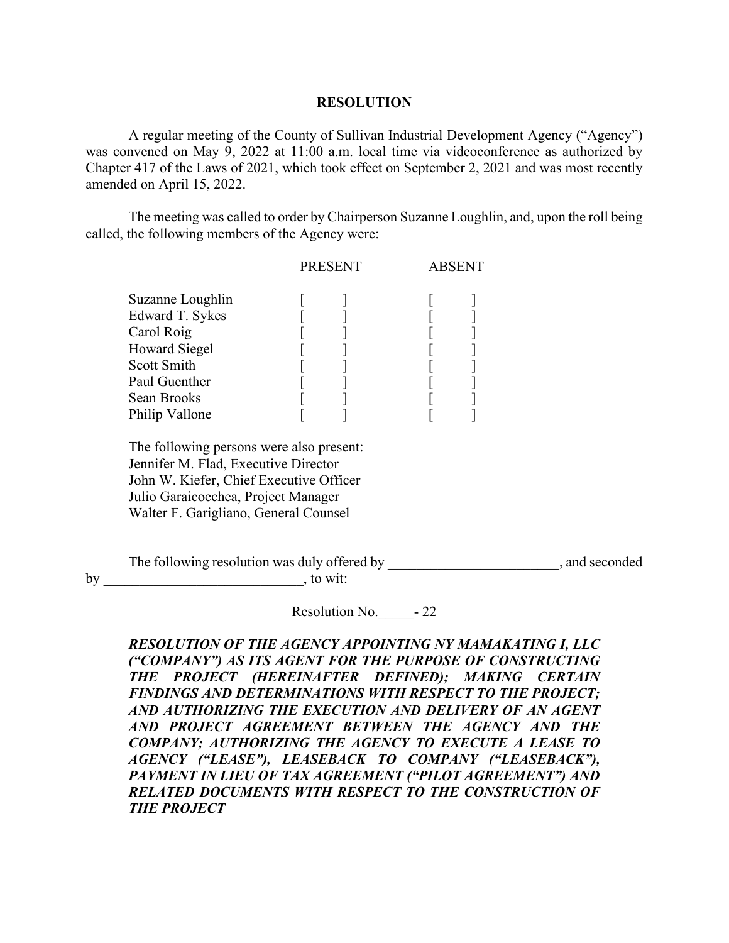## **RESOLUTION**

A regular meeting of the County of Sullivan Industrial Development Agency ("Agency") was convened on May 9, 2022 at 11:00 a.m. local time via videoconference as authorized by Chapter 417 of the Laws of 2021, which took effect on September 2, 2021 and was most recently amended on April 15, 2022.

The meeting was called to order by Chairperson Suzanne Loughlin, and, upon the roll being called, the following members of the Agency were:

|                                                                                                                                            | <b>PRESENT</b> |  |  |
|--------------------------------------------------------------------------------------------------------------------------------------------|----------------|--|--|
| Suzanne Loughlin<br>Edward T. Sykes<br>Carol Roig<br><b>Howard Siegel</b><br>Scott Smith<br>Paul Guenther<br>Sean Brooks<br>Philip Vallone |                |  |  |
|                                                                                                                                            |                |  |  |

 The following persons were also present: Jennifer M. Flad, Executive Director John W. Kiefer, Chief Executive Officer Julio Garaicoechea, Project Manager Walter F. Garigliano, General Counsel

The following resolution was duly offered by \_\_\_\_\_\_\_\_\_\_\_\_\_\_\_\_\_\_\_\_\_\_\_, and seconded by \_\_\_\_\_\_\_\_\_\_\_\_\_\_\_\_\_\_\_\_\_\_\_\_\_\_\_\_, to wit:

Resolution No.  $-22$ 

*RESOLUTION OF THE AGENCY APPOINTING NY MAMAKATING I, LLC ("COMPANY") AS ITS AGENT FOR THE PURPOSE OF CONSTRUCTING THE PROJECT (HEREINAFTER DEFINED); MAKING CERTAIN FINDINGS AND DETERMINATIONS WITH RESPECT TO THE PROJECT; AND AUTHORIZING THE EXECUTION AND DELIVERY OF AN AGENT AND PROJECT AGREEMENT BETWEEN THE AGENCY AND THE COMPANY; AUTHORIZING THE AGENCY TO EXECUTE A LEASE TO AGENCY ("LEASE"), LEASEBACK TO COMPANY ("LEASEBACK"), PAYMENT IN LIEU OF TAX AGREEMENT ("PILOT AGREEMENT") AND RELATED DOCUMENTS WITH RESPECT TO THE CONSTRUCTION OF THE PROJECT*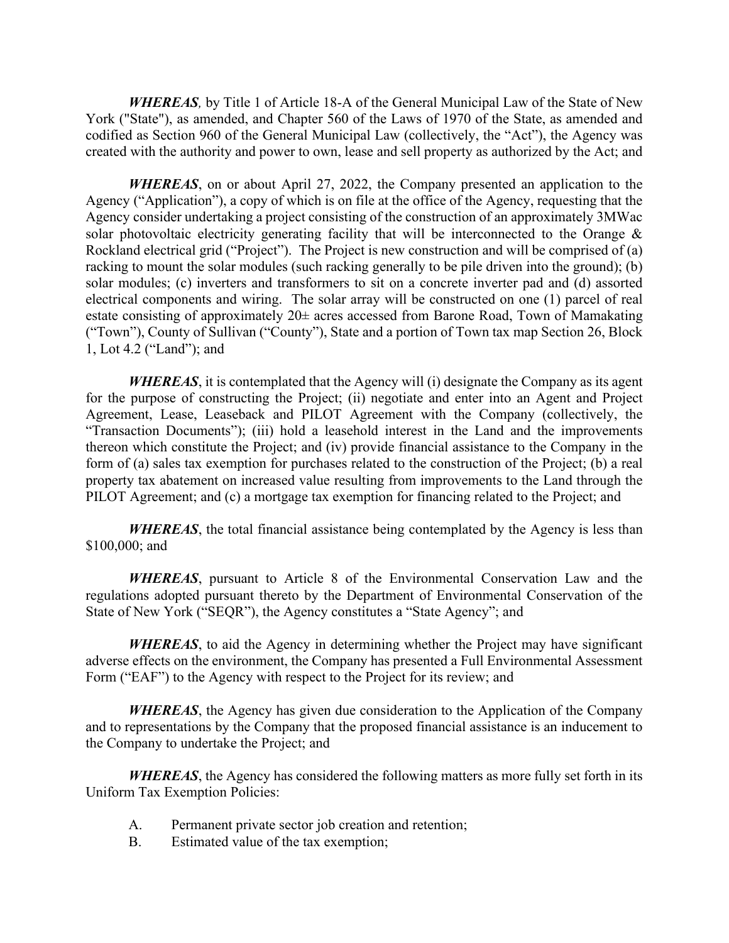*WHEREAS,* by Title 1 of Article 18-A of the General Municipal Law of the State of New York ("State"), as amended, and Chapter 560 of the Laws of 1970 of the State, as amended and codified as Section 960 of the General Municipal Law (collectively, the "Act"), the Agency was created with the authority and power to own, lease and sell property as authorized by the Act; and

*WHEREAS*, on or about April 27, 2022, the Company presented an application to the Agency ("Application"), a copy of which is on file at the office of the Agency, requesting that the Agency consider undertaking a project consisting of the construction of an approximately 3MWac solar photovoltaic electricity generating facility that will be interconnected to the Orange  $\&$ Rockland electrical grid ("Project"). The Project is new construction and will be comprised of (a) racking to mount the solar modules (such racking generally to be pile driven into the ground); (b) solar modules; (c) inverters and transformers to sit on a concrete inverter pad and (d) assorted electrical components and wiring. The solar array will be constructed on one (1) parcel of real estate consisting of approximately  $20\pm$  acres accessed from Barone Road, Town of Mamakating ("Town"), County of Sullivan ("County"), State and a portion of Town tax map Section 26, Block 1, Lot 4.2 ("Land"); and

*WHEREAS*, it is contemplated that the Agency will (i) designate the Company as its agent for the purpose of constructing the Project; (ii) negotiate and enter into an Agent and Project Agreement, Lease, Leaseback and PILOT Agreement with the Company (collectively, the "Transaction Documents"); (iii) hold a leasehold interest in the Land and the improvements thereon which constitute the Project; and (iv) provide financial assistance to the Company in the form of (a) sales tax exemption for purchases related to the construction of the Project; (b) a real property tax abatement on increased value resulting from improvements to the Land through the PILOT Agreement; and (c) a mortgage tax exemption for financing related to the Project; and

*WHEREAS*, the total financial assistance being contemplated by the Agency is less than \$100,000; and

*WHEREAS*, pursuant to Article 8 of the Environmental Conservation Law and the regulations adopted pursuant thereto by the Department of Environmental Conservation of the State of New York ("SEQR"), the Agency constitutes a "State Agency"; and

*WHEREAS*, to aid the Agency in determining whether the Project may have significant adverse effects on the environment, the Company has presented a Full Environmental Assessment Form ("EAF") to the Agency with respect to the Project for its review; and

*WHEREAS*, the Agency has given due consideration to the Application of the Company and to representations by the Company that the proposed financial assistance is an inducement to the Company to undertake the Project; and

*WHEREAS*, the Agency has considered the following matters as more fully set forth in its Uniform Tax Exemption Policies:

- A. Permanent private sector job creation and retention;
- B. Estimated value of the tax exemption;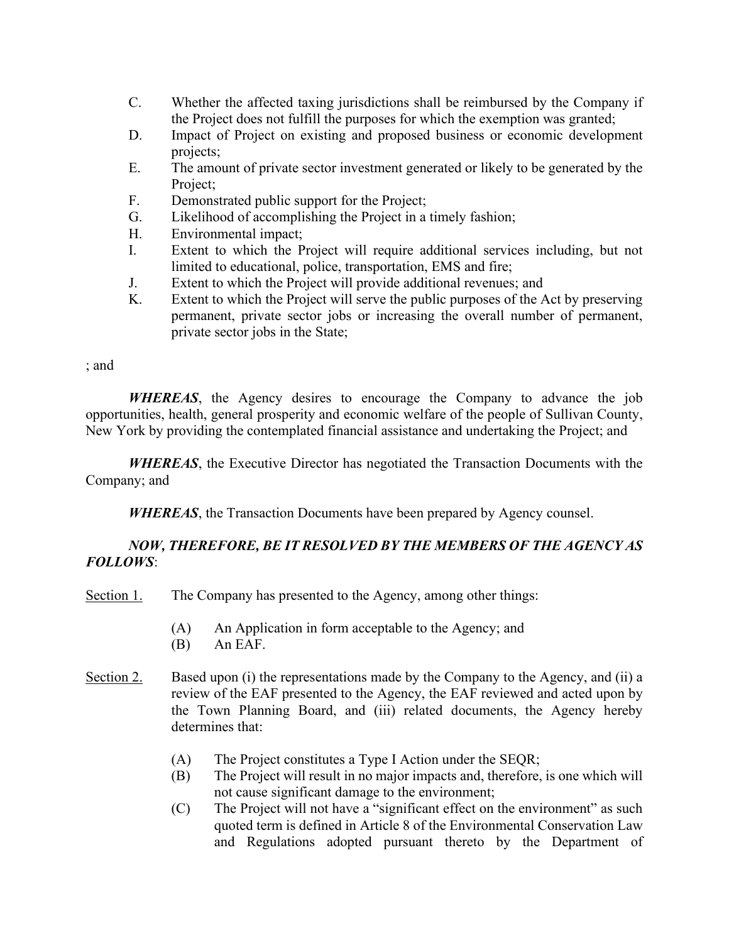- C. Whether the affected taxing jurisdictions shall be reimbursed by the Company if the Project does not fulfill the purposes for which the exemption was granted;
- D. Impact of Project on existing and proposed business or economic development projects;
- E. The amount of private sector investment generated or likely to be generated by the Project;
- F. Demonstrated public support for the Project;
- G. Likelihood of accomplishing the Project in a timely fashion;
- H. Environmental impact;
- I. Extent to which the Project will require additional services including, but not limited to educational, police, transportation, EMS and fire;
- J. Extent to which the Project will provide additional revenues; and
- K. Extent to which the Project will serve the public purposes of the Act by preserving permanent, private sector jobs or increasing the overall number of permanent, private sector jobs in the State;

; and

*WHEREAS*, the Agency desires to encourage the Company to advance the job opportunities, health, general prosperity and economic welfare of the people of Sullivan County, New York by providing the contemplated financial assistance and undertaking the Project; and

*WHEREAS*, the Executive Director has negotiated the Transaction Documents with the Company; and

*WHEREAS*, the Transaction Documents have been prepared by Agency counsel.

## *NOW, THEREFORE, BE IT RESOLVED BY THE MEMBERS OF THE AGENCY AS FOLLOWS*:

- Section 1. The Company has presented to the Agency, among other things:
	- (A) An Application in form acceptable to the Agency; and
	- (B) An EAF.
- Section 2. Based upon (i) the representations made by the Company to the Agency, and (ii) a review of the EAF presented to the Agency, the EAF reviewed and acted upon by the Town Planning Board, and (iii) related documents, the Agency hereby determines that:
	- (A) The Project constitutes a Type I Action under the SEQR;
	- (B) The Project will result in no major impacts and, therefore, is one which will not cause significant damage to the environment;
	- (C) The Project will not have a "significant effect on the environment" as such quoted term is defined in Article 8 of the Environmental Conservation Law and Regulations adopted pursuant thereto by the Department of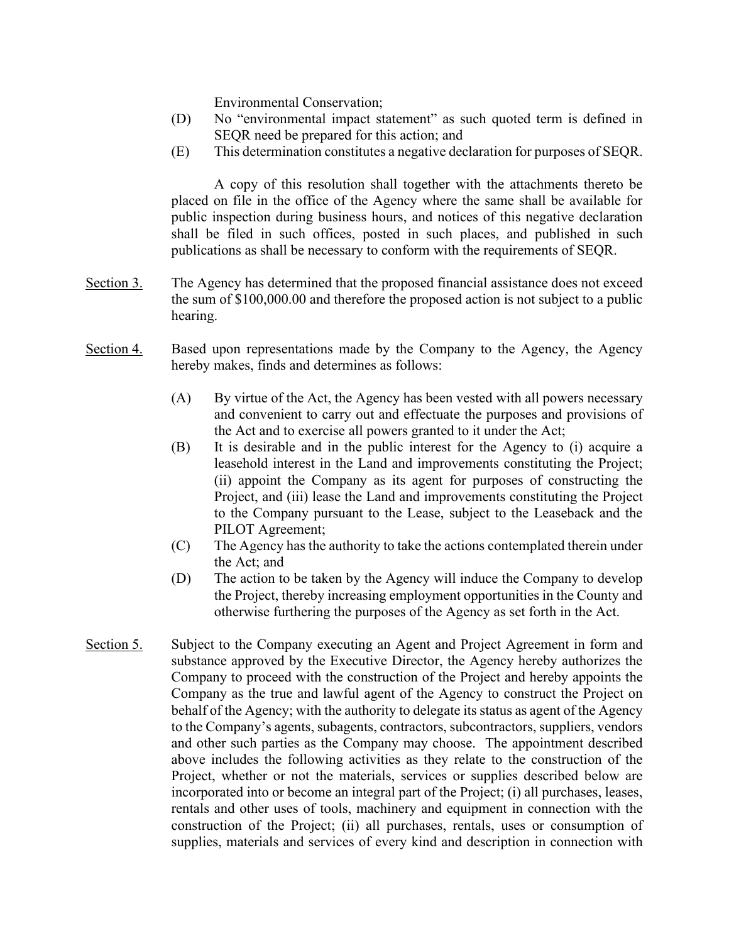Environmental Conservation;

- (D) No "environmental impact statement" as such quoted term is defined in SEQR need be prepared for this action; and
- (E) This determination constitutes a negative declaration for purposes of SEQR.

A copy of this resolution shall together with the attachments thereto be placed on file in the office of the Agency where the same shall be available for public inspection during business hours, and notices of this negative declaration shall be filed in such offices, posted in such places, and published in such publications as shall be necessary to conform with the requirements of SEQR.

- Section 3. The Agency has determined that the proposed financial assistance does not exceed the sum of \$100,000.00 and therefore the proposed action is not subject to a public hearing.
- Section 4. Based upon representations made by the Company to the Agency, the Agency hereby makes, finds and determines as follows:
	- (A) By virtue of the Act, the Agency has been vested with all powers necessary and convenient to carry out and effectuate the purposes and provisions of the Act and to exercise all powers granted to it under the Act;
	- (B) It is desirable and in the public interest for the Agency to (i) acquire a leasehold interest in the Land and improvements constituting the Project; (ii) appoint the Company as its agent for purposes of constructing the Project, and (iii) lease the Land and improvements constituting the Project to the Company pursuant to the Lease, subject to the Leaseback and the PILOT Agreement;
	- (C) The Agency has the authority to take the actions contemplated therein under the Act; and
	- (D) The action to be taken by the Agency will induce the Company to develop the Project, thereby increasing employment opportunities in the County and otherwise furthering the purposes of the Agency as set forth in the Act.
- Section 5. Subject to the Company executing an Agent and Project Agreement in form and substance approved by the Executive Director, the Agency hereby authorizes the Company to proceed with the construction of the Project and hereby appoints the Company as the true and lawful agent of the Agency to construct the Project on behalf of the Agency; with the authority to delegate its status as agent of the Agency to the Company's agents, subagents, contractors, subcontractors, suppliers, vendors and other such parties as the Company may choose. The appointment described above includes the following activities as they relate to the construction of the Project, whether or not the materials, services or supplies described below are incorporated into or become an integral part of the Project; (i) all purchases, leases, rentals and other uses of tools, machinery and equipment in connection with the construction of the Project; (ii) all purchases, rentals, uses or consumption of supplies, materials and services of every kind and description in connection with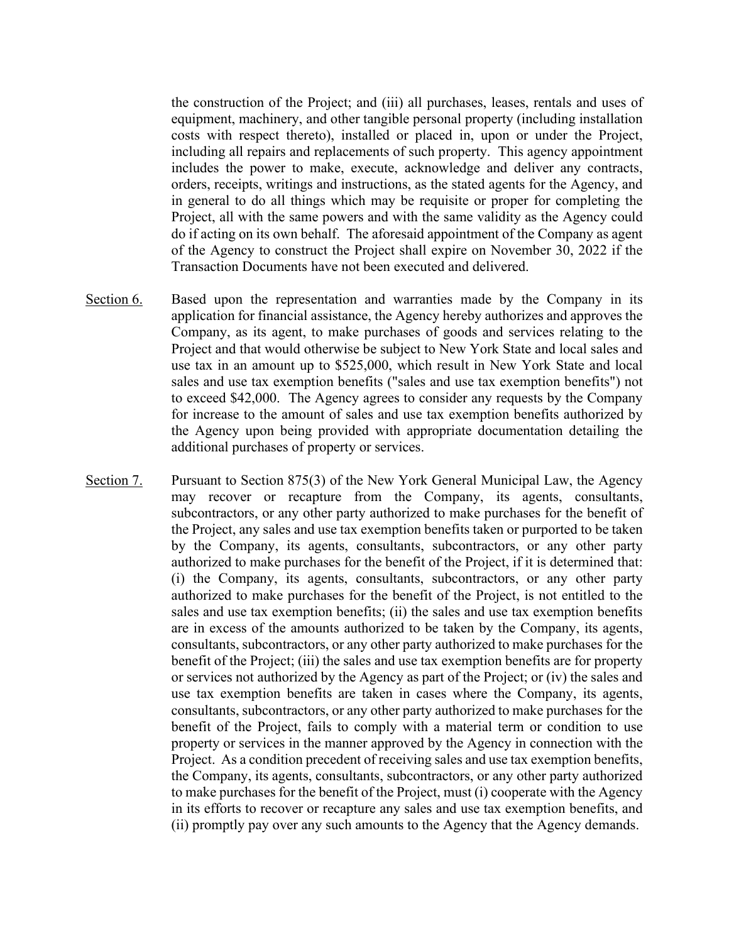the construction of the Project; and (iii) all purchases, leases, rentals and uses of equipment, machinery, and other tangible personal property (including installation costs with respect thereto), installed or placed in, upon or under the Project, including all repairs and replacements of such property. This agency appointment includes the power to make, execute, acknowledge and deliver any contracts, orders, receipts, writings and instructions, as the stated agents for the Agency, and in general to do all things which may be requisite or proper for completing the Project, all with the same powers and with the same validity as the Agency could do if acting on its own behalf. The aforesaid appointment of the Company as agent of the Agency to construct the Project shall expire on November 30, 2022 if the Transaction Documents have not been executed and delivered.

- Section 6. Based upon the representation and warranties made by the Company in its application for financial assistance, the Agency hereby authorizes and approves the Company, as its agent, to make purchases of goods and services relating to the Project and that would otherwise be subject to New York State and local sales and use tax in an amount up to \$525,000, which result in New York State and local sales and use tax exemption benefits ("sales and use tax exemption benefits") not to exceed \$42,000. The Agency agrees to consider any requests by the Company for increase to the amount of sales and use tax exemption benefits authorized by the Agency upon being provided with appropriate documentation detailing the additional purchases of property or services.
- Section 7. Pursuant to Section 875(3) of the New York General Municipal Law, the Agency may recover or recapture from the Company, its agents, consultants, subcontractors, or any other party authorized to make purchases for the benefit of the Project, any sales and use tax exemption benefits taken or purported to be taken by the Company, its agents, consultants, subcontractors, or any other party authorized to make purchases for the benefit of the Project, if it is determined that: (i) the Company, its agents, consultants, subcontractors, or any other party authorized to make purchases for the benefit of the Project, is not entitled to the sales and use tax exemption benefits; (ii) the sales and use tax exemption benefits are in excess of the amounts authorized to be taken by the Company, its agents, consultants, subcontractors, or any other party authorized to make purchases for the benefit of the Project; (iii) the sales and use tax exemption benefits are for property or services not authorized by the Agency as part of the Project; or (iv) the sales and use tax exemption benefits are taken in cases where the Company, its agents, consultants, subcontractors, or any other party authorized to make purchases for the benefit of the Project, fails to comply with a material term or condition to use property or services in the manner approved by the Agency in connection with the Project. As a condition precedent of receiving sales and use tax exemption benefits, the Company, its agents, consultants, subcontractors, or any other party authorized to make purchases for the benefit of the Project, must (i) cooperate with the Agency in its efforts to recover or recapture any sales and use tax exemption benefits, and (ii) promptly pay over any such amounts to the Agency that the Agency demands.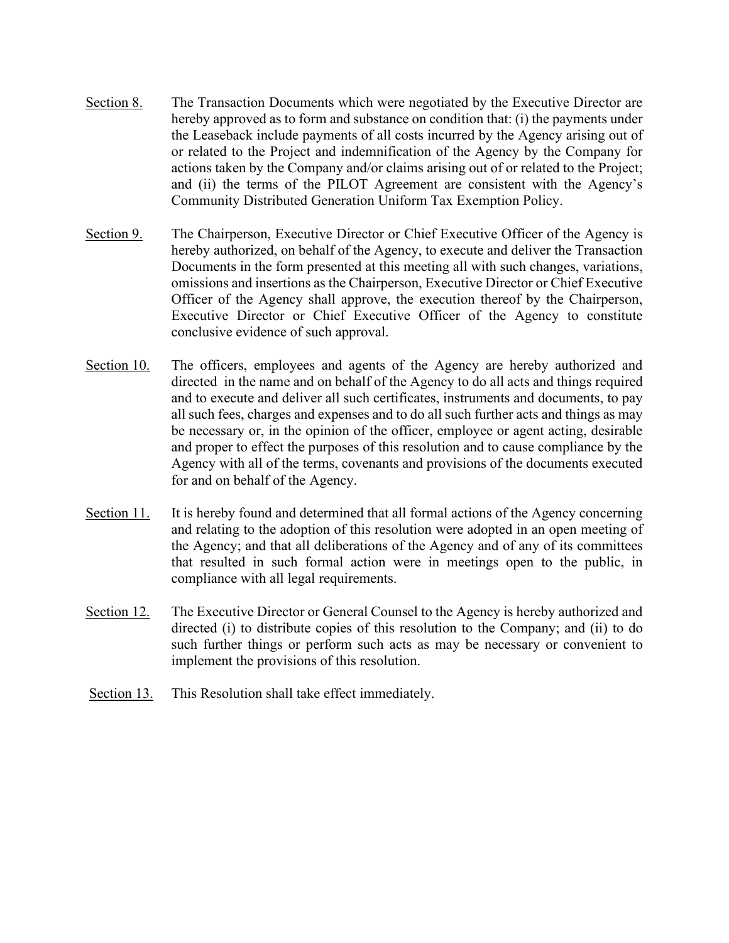- Section 8. The Transaction Documents which were negotiated by the Executive Director are hereby approved as to form and substance on condition that: (i) the payments under the Leaseback include payments of all costs incurred by the Agency arising out of or related to the Project and indemnification of the Agency by the Company for actions taken by the Company and/or claims arising out of or related to the Project; and (ii) the terms of the PILOT Agreement are consistent with the Agency's Community Distributed Generation Uniform Tax Exemption Policy.
- Section 9. The Chairperson, Executive Director or Chief Executive Officer of the Agency is hereby authorized, on behalf of the Agency, to execute and deliver the Transaction Documents in the form presented at this meeting all with such changes, variations, omissions and insertions as the Chairperson, Executive Director or Chief Executive Officer of the Agency shall approve, the execution thereof by the Chairperson, Executive Director or Chief Executive Officer of the Agency to constitute conclusive evidence of such approval.
- Section 10. The officers, employees and agents of the Agency are hereby authorized and directed in the name and on behalf of the Agency to do all acts and things required and to execute and deliver all such certificates, instruments and documents, to pay all such fees, charges and expenses and to do all such further acts and things as may be necessary or, in the opinion of the officer, employee or agent acting, desirable and proper to effect the purposes of this resolution and to cause compliance by the Agency with all of the terms, covenants and provisions of the documents executed for and on behalf of the Agency.
- Section 11. It is hereby found and determined that all formal actions of the Agency concerning and relating to the adoption of this resolution were adopted in an open meeting of the Agency; and that all deliberations of the Agency and of any of its committees that resulted in such formal action were in meetings open to the public, in compliance with all legal requirements.
- Section 12. The Executive Director or General Counsel to the Agency is hereby authorized and directed (i) to distribute copies of this resolution to the Company; and (ii) to do such further things or perform such acts as may be necessary or convenient to implement the provisions of this resolution.
- Section 13. This Resolution shall take effect immediately.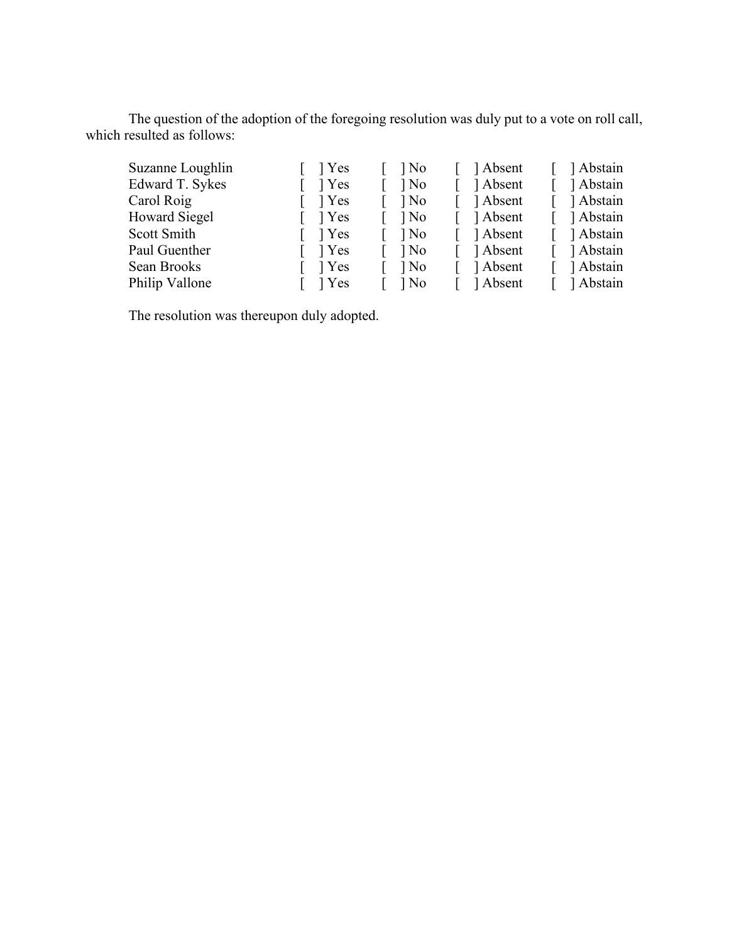The question of the adoption of the foregoing resolution was duly put to a vote on roll call, which resulted as follows:

| Suzanne Loughlin | $\lceil \quad \rceil$ Yes | $\log$ | Absent     | Abstain     |
|------------------|---------------------------|--------|------------|-------------|
| Edward T. Sykes  | 1 Yes                     | $\log$ | Absent     | Abstain     |
| Carol Roig       | $\lceil \quad \rceil$ Yes | $\log$ | 1 Absent   | ] Abstain   |
| Howard Siegel    | $\lceil \quad \rceil$ Yes | $\log$ | Absent     | ] Abstain   |
| Scott Smith      | $\lceil \quad \rceil$ Yes | $\log$ | [ ] Absent | Abstain     |
| Paul Guenther    | $\lceil \quad \rceil$ Yes | $\log$ | 1 Absent   | Abstain     |
| Sean Brooks      | $\lceil \quad \rceil$ Yes | $\log$ | Absent     | [ ] Abstain |
| Philip Vallone   | $\lceil \quad \rceil$ Yes | $\log$ | Absent     | 1 Abstain   |

The resolution was thereupon duly adopted.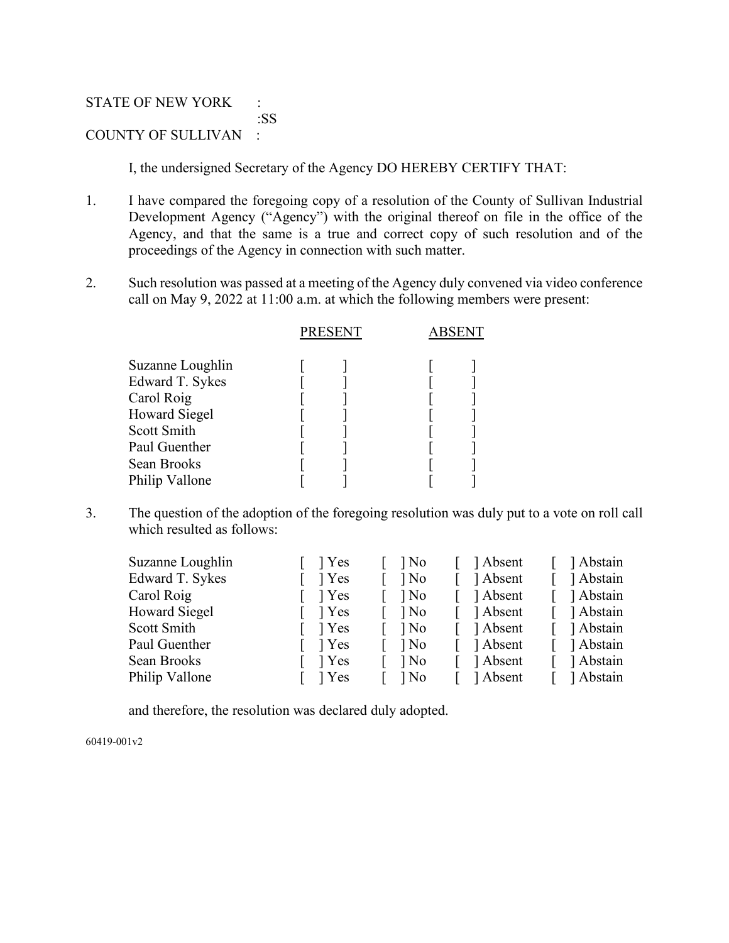STATE OF NEW YORK : :SS COUNTY OF SULLIVAN :

I, the undersigned Secretary of the Agency DO HEREBY CERTIFY THAT:

- 1. I have compared the foregoing copy of a resolution of the County of Sullivan Industrial Development Agency ("Agency") with the original thereof on file in the office of the Agency, and that the same is a true and correct copy of such resolution and of the proceedings of the Agency in connection with such matter.
- 2. Such resolution was passed at a meeting of the Agency duly convened via video conference call on May 9, 2022 at 11:00 a.m. at which the following members were present:

|                                                                                                                                            | <b>PRESENT</b> | <b>ABSENT</b> |  |
|--------------------------------------------------------------------------------------------------------------------------------------------|----------------|---------------|--|
| Suzanne Loughlin<br>Edward T. Sykes<br>Carol Roig<br><b>Howard Siegel</b><br>Scott Smith<br>Paul Guenther<br>Sean Brooks<br>Philip Vallone |                |               |  |
|                                                                                                                                            |                |               |  |

3. The question of the adoption of the foregoing resolution was duly put to a vote on roll call which resulted as follows:

| Suzanne Loughlin     | l Yes | ] No   | Absent   | ] Abstain |
|----------------------|-------|--------|----------|-----------|
| Edward T. Sykes      | 1 Yes | ] No   | Absent   | Abstain   |
| Carol Roig           | 1 Yes | $\log$ | Absent   | Abstain   |
| <b>Howard Siegel</b> | 1 Yes | ] No   | Absent   | Abstain   |
| Scott Smith          | 1 Yes | ] No   | Absent   | Abstain   |
| Paul Guenther        | 1 Yes | $\log$ | Absent   | Abstain   |
| Sean Brooks          | 1 Yes | ] No   | 1 Absent | Abstain   |
| Philip Vallone       | l Yes | l No   | Absent   | ] Abstain |
|                      |       |        |          |           |

and therefore, the resolution was declared duly adopted.

60419-001v2